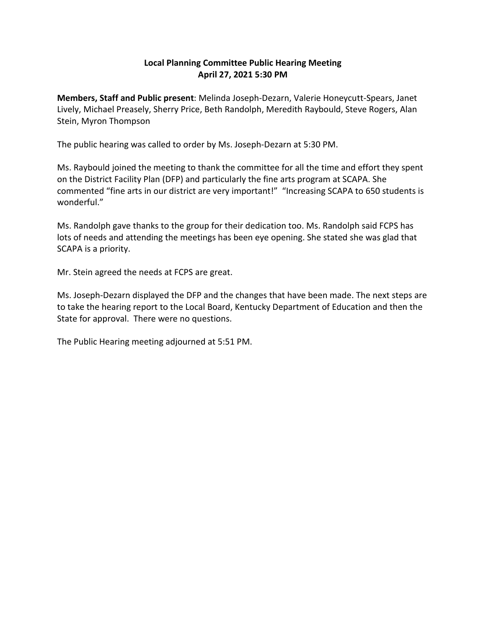## **Local Planning Committee Public Hearing Meeting April 27, 2021 5:30 PM**

**Members, Staff and Public present**: Melinda Joseph-Dezarn, Valerie Honeycutt-Spears, Janet Lively, Michael Preasely, Sherry Price, Beth Randolph, Meredith Raybould, Steve Rogers, Alan Stein, Myron Thompson

The public hearing was called to order by Ms. Joseph-Dezarn at 5:30 PM.

Ms. Raybould joined the meeting to thank the committee for all the time and effort they spent on the District Facility Plan (DFP) and particularly the fine arts program at SCAPA. She commented "fine arts in our district are very important!" "Increasing SCAPA to 650 students is wonderful."

Ms. Randolph gave thanks to the group for their dedication too. Ms. Randolph said FCPS has lots of needs and attending the meetings has been eye opening. She stated she was glad that SCAPA is a priority.

Mr. Stein agreed the needs at FCPS are great.

Ms. Joseph-Dezarn displayed the DFP and the changes that have been made. The next steps are to take the hearing report to the Local Board, Kentucky Department of Education and then the State for approval. There were no questions.

The Public Hearing meeting adjourned at 5:51 PM.